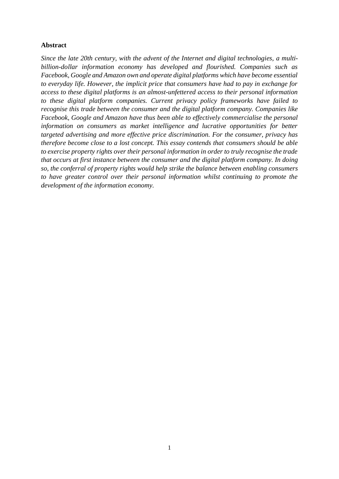## **Abstract**

*Since the late 20th century, with the advent of the Internet and digital technologies, a multibillion-dollar information economy has developed and flourished. Companies such as Facebook, Google and Amazon own and operate digital platforms which have become essential to everyday life. However, the implicit price that consumers have had to pay in exchange for access to these digital platforms is an almost-unfettered access to their personal information to these digital platform companies. Current privacy policy frameworks have failed to recognise this trade between the consumer and the digital platform company. Companies like Facebook, Google and Amazon have thus been able to effectively commercialise the personal information on consumers as market intelligence and lucrative opportunities for better targeted advertising and more effective price discrimination. For the consumer, privacy has therefore become close to a lost concept. This essay contends that consumers should be able to exercise property rights over their personal information in order to truly recognise the trade that occurs at first instance between the consumer and the digital platform company. In doing so, the conferral of property rights would help strike the balance between enabling consumers to have greater control over their personal information whilst continuing to promote the development of the information economy.*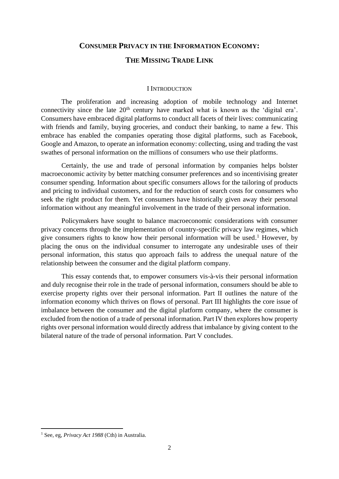# **CONSUMER PRIVACY IN THE INFORMATION ECONOMY:**

# **THE MISSING TRADE LINK**

#### I INTRODUCTION

The proliferation and increasing adoption of mobile technology and Internet connectivity since the late  $20<sup>th</sup>$  century have marked what is known as the 'digital era'. Consumers have embraced digital platforms to conduct all facets of their lives: communicating with friends and family, buying groceries, and conduct their banking, to name a few. This embrace has enabled the companies operating those digital platforms, such as Facebook, Google and Amazon, to operate an information economy: collecting, using and trading the vast swathes of personal information on the millions of consumers who use their platforms.

Certainly, the use and trade of personal information by companies helps bolster macroeconomic activity by better matching consumer preferences and so incentivising greater consumer spending. Information about specific consumers allows for the tailoring of products and pricing to individual customers, and for the reduction of search costs for consumers who seek the right product for them. Yet consumers have historically given away their personal information without any meaningful involvement in the trade of their personal information.

Policymakers have sought to balance macroeconomic considerations with consumer privacy concerns through the implementation of country-specific privacy law regimes, which give consumers rights to know how their personal information will be used. <sup>1</sup> However, by placing the onus on the individual consumer to interrogate any undesirable uses of their personal information, this status quo approach fails to address the unequal nature of the relationship between the consumer and the digital platform company.

This essay contends that, to empower consumers vis-à-vis their personal information and duly recognise their role in the trade of personal information, consumers should be able to exercise property rights over their personal information. Part II outlines the nature of the information economy which thrives on flows of personal. Part III highlights the core issue of imbalance between the consumer and the digital platform company, where the consumer is excluded from the notion of a trade of personal information. Part IV then explores how property rights over personal information would directly address that imbalance by giving content to the bilateral nature of the trade of personal information. Part V concludes.

<sup>1</sup> See, eg, *Privacy Act 1988* (Cth) in Australia.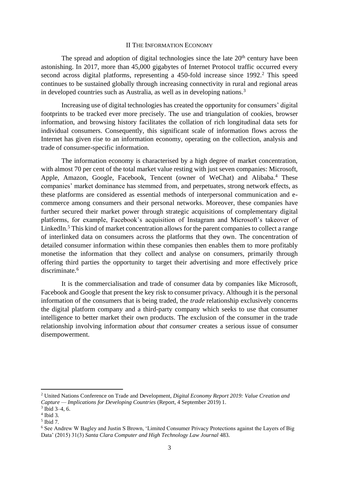#### II THE INFORMATION ECONOMY

The spread and adoption of digital technologies since the late  $20<sup>th</sup>$  century have been astonishing. In 2017, more than 45,000 gigabytes of Internet Protocol traffic occurred every second across digital platforms, representing a 450-fold increase since 1992. <sup>2</sup> This speed continues to be sustained globally through increasing connectivity in rural and regional areas in developed countries such as Australia, as well as in developing nations.<sup>3</sup>

Increasing use of digital technologies has created the opportunity for consumers' digital footprints to be tracked ever more precisely. The use and triangulation of cookies, browser information, and browsing history facilitates the collation of rich longitudinal data sets for individual consumers. Consequently, this significant scale of information flows across the Internet has given rise to an information economy, operating on the collection, analysis and trade of consumer-specific information.

The information economy is characterised by a high degree of market concentration, with almost 70 per cent of the total market value resting with just seven companies: Microsoft, Apple, Amazon, Google, Facebook, Tencent (owner of WeChat) and Alibaba.<sup>4</sup> These companies' market dominance has stemmed from, and perpetuates, strong network effects, as these platforms are considered as essential methods of interpersonal communication and ecommerce among consumers and their personal networks. Moreover, these companies have further secured their market power through strategic acquisitions of complementary digital platforms, for example, Facebook's acquisition of Instagram and Microsoft's takeover of LinkedIn.<sup>5</sup> This kind of market concentration allows for the parent companies to collect a range of interlinked data on consumers across the platforms that they own. The concentration of detailed consumer information within these companies then enables them to more profitably monetise the information that they collect and analyse on consumers, primarily through offering third parties the opportunity to target their advertising and more effectively price discriminate. 6

It is the commercialisation and trade of consumer data by companies like Microsoft, Facebook and Google that present the key risk to consumer privacy. Although it is the personal information of the consumers that is being traded, the *trade* relationship exclusively concerns the digital platform company and a third-party company which seeks to use that consumer intelligence to better market their own products. The exclusion of the consumer in the trade relationship involving information *about that consumer* creates a serious issue of consumer disempowerment.

<sup>2</sup> United Nations Conference on Trade and Development, *Digital Economy Report 2019: Value Creation and Capture — Implications for Developing Countries* (Report, 4 September 2019) 1.

 $3$  Ibid 3-4, 6.

<sup>4</sup> Ibid 3.

<sup>5</sup> Ibid 7.

<sup>6</sup> See Andrew W Bagley and Justin S Brown, 'Limited Consumer Privacy Protections against the Layers of Big Data' (2015) 31(3) *Santa Clara Computer and High Technology Law Journal* 483.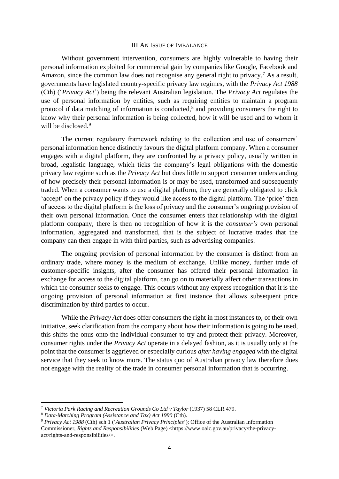#### III AN ISSUE OF IMBALANCE

Without government intervention, consumers are highly vulnerable to having their personal information exploited for commercial gain by companies like Google, Facebook and Amazon, since the common law does not recognise any general right to privacy.<sup>7</sup> As a result, governments have legislated country-specific privacy law regimes, with the *Privacy Act 1988* (Cth) ('*Privacy Act*') being the relevant Australian legislation. The *Privacy Act* regulates the use of personal information by entities, such as requiring entities to maintain a program protocol if data matching of information is conducted,<sup>8</sup> and providing consumers the right to know why their personal information is being collected, how it will be used and to whom it will be disclosed.<sup>9</sup>

<span id="page-3-0"></span>The current regulatory framework relating to the collection and use of consumers' personal information hence distinctly favours the digital platform company. When a consumer engages with a digital platform, they are confronted by a privacy policy, usually written in broad, legalistic language, which ticks the company's legal obligations with the domestic privacy law regime such as the *Privacy Act* but does little to support consumer understanding of how precisely their personal information is or may be used, transformed and subsequently traded. When a consumer wants to use a digital platform, they are generally obligated to click 'accept' on the privacy policy if they would like access to the digital platform. The 'price' then of access to the digital platform is the loss of privacy and the consumer's ongoing provision of their own personal information. Once the consumer enters that relationship with the digital platform company, there is then no recognition of how it is the *consumer's* own personal information, aggregated and transformed, that is the subject of lucrative trades that the company can then engage in with third parties, such as advertising companies.

The ongoing provision of personal information by the consumer is distinct from an ordinary trade, where money is the medium of exchange. Unlike money, further trade of customer-specific insights, after the consumer has offered their personal information in exchange for access to the digital platform, can go on to materially affect other transactions in which the consumer seeks to engage. This occurs without any express recognition that it is the ongoing provision of personal information at first instance that allows subsequent price discrimination by third parties to occur.

While the *Privacy Act* does offer consumers the right in most instances to, of their own initiative, seek clarification from the company about how their information is going to be used, this shifts the onus onto the individual consumer to try and protect their privacy. Moreover, consumer rights under the *Privacy Act* operate in a delayed fashion, as it is usually only at the point that the consumer is aggrieved or especially curious *after having engaged* with the digital service that they seek to know more. The status quo of Australian privacy law therefore does not engage with the reality of the trade in consumer personal information that is occurring.

<sup>7</sup> *Victoria Park Racing and Recreation Grounds Co Ltd v Taylor* (1937) 58 CLR 479.

<sup>8</sup> *Data-Matching Program (Assistance and Tax) Act 1990* (Cth).

<sup>9</sup> *Privacy Act 1988* (Cth) sch 1 ('*Australian Privacy Principles*'); Office of the Australian Information Commissioner, *Rights and Responsibilities* (Web Page) <https://www.oaic.gov.au/privacy/the-privacyact/rights-and-responsibilities/>.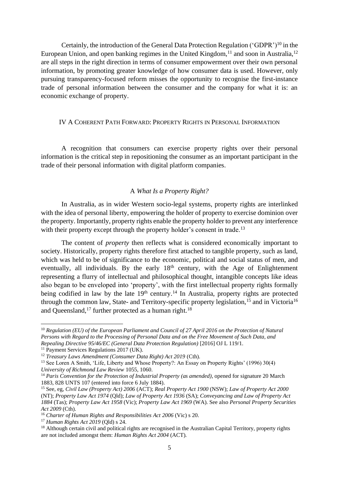Certainly, the introduction of the General Data Protection Regulation ('GDPR')<sup>10</sup> in the European Union, and open banking regimes in the United Kingdom,  $11$  and soon in Australia,  $12$ are all steps in the right direction in terms of consumer empowerment over their own personal information, by promoting greater knowledge of how consumer data is used. However, only pursuing transparency-focused reform misses the opportunity to recognise the first-instance trade of personal information between the consumer and the company for what it is: an economic exchange of property.

#### IV A COHERENT PATH FORWARD: PROPERTY RIGHTS IN PERSONAL INFORMATION

A recognition that consumers can exercise property rights over their personal information is the critical step in repositioning the consumer as an important participant in the trade of their personal information with digital platform companies.

### A *What Is a Property Right?*

In Australia, as in wider Western socio-legal systems, property rights are interlinked with the idea of personal liberty, empowering the holder of property to exercise dominion over the property. Importantly, property rights enable the property holder to prevent any interference with their property except through the property holder's consent in trade.<sup>13</sup>

The content of *property* then reflects what is considered economically important to society. Historically, property rights therefore first attached to tangible property, such as land, which was held to be of significance to the economic, political and social status of men, and eventually, all individuals. By the early 18<sup>th</sup> century, with the Age of Enlightenment representing a flurry of intellectual and philosophical thought, intangible concepts like ideas also began to be enveloped into 'property', with the first intellectual property rights formally being codified in law by the late  $19<sup>th</sup>$  century.<sup>14</sup> In Australia, property rights are protected through the common law, State- and Territory-specific property legislation,  $^{15}$  and in Victoria<sup>16</sup> and Queensland,<sup>17</sup> further protected as a human right.<sup>18</sup>

<sup>10</sup> *Regulation (EU) of the European Parliament and Council of 27 April 2016 on the Protection of Natural Persons with Regard to the Processing of Personal Data and on the Free Movement of Such Data, and Repealing Directive 95/46/EC (General Data Protection Regulation)* [2016] OJ L 119/1.

<sup>&</sup>lt;sup>11</sup> Payment Services Regulations 2017 (UK).

<sup>&</sup>lt;sup>12</sup> *Treasury Laws Amendment (Consumer Data Right) Act 2019 (Cth).* 

<sup>13</sup> See Loren A Smith, 'Life, Liberty and Whose Property?: An Essay on Property Rights' (1996) 30(4) *University of Richmond Law Review* 1055, 1060.

<sup>14</sup> *Paris Convention for the Protection of Industrial Property (as amended)*, opened for signature 20 March 1883, 828 UNTS 107 (entered into force 6 July 1884).

<sup>15</sup> See, eg, *Civil Law (Property Act) 2006* (ACT); *Real Property Act 1900* (NSW); *Law of Property Act 2000*  (NT); *Property Law Act 1974* (Qld); *Law of Property Act 1936* (SA); *Conveyancing and Law of Property Act 1884* (Tas); *Property Law Act 1958* (Vic); *Property Law Act 1969* (WA). See also *Personal Property Securities Act 2009* (Cth).

<sup>16</sup> *Charter of Human Rights and Responsibilities Act 2006* (Vic) s 20.

<sup>17</sup> *Human Rights Act 2019* (Qld) s 24.

<sup>&</sup>lt;sup>18</sup> Although certain civil and political rights are recognised in the Australian Capital Territory, property rights are not included amongst them: *Human Rights Act 2004* (ACT).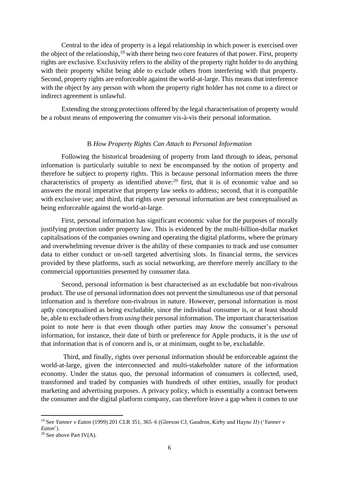<span id="page-5-0"></span>Central to the idea of property is a legal relationship in which power is exercised over the object of the relationship,<sup>19</sup> with there being two core features of that power. First, property rights are exclusive. Exclusivity refers to the ability of the property right holder to do anything with their property whilst being able to exclude others from interfering with that property. Second, property rights are enforceable against the world-at-large. This means that interference with the object by any person with whom the property right holder has not come to a direct or indirect agreement is unlawful.

Extending the strong protections offered by the legal characterisation of property would be a robust means of empowering the consumer vis-à-vis their personal information.

#### B *How Property Rights Can Attach to Personal Information*

Following the historical broadening of property from land through to ideas, personal information is particularly suitable to next be encompassed by the notion of property and therefore be subject to property rights. This is because personal information meets the three characteristics of property as identified above:<sup>20</sup> first, that it is of economic value and so answers the moral imperative that property law seeks to address; second, that it is compatible with exclusive use; and third, that rights over personal information are best conceptualised as being enforceable against the world-at-large.

First, personal information has significant economic value for the purposes of morally justifying protection under property law. This is evidenced by the multi-billion-dollar market capitalisations of the companies owning and operating the digital platforms, where the primary and overwhelming revenue driver is the ability of these companies to track and use consumer data to either conduct or on-sell targeted advertising slots. In financial terms, the services provided by these platforms, such as social networking, are therefore merely ancillary to the commercial opportunities presented by consumer data.

Second, personal information is best characterised as an excludable but non-rivalrous product. The use of personal information does not prevent the simultaneous use of that personal information and is therefore non-rivalrous in nature. However, personal information is most aptly conceptualised as being excludable, since the individual consumer is, or at least should be, able to exclude others from *using* their personal information. The important characterisation point to note here is that even though other parties may *know* the consumer's personal information, for instance, their date of birth or preference for Apple products, it is the *use* of that information that is of concern and is, or at minimum, ought to be, excludable.

Third, and finally, rights over personal information should be enforceable against the world-at-large, given the interconnected and multi-stakeholder nature of the information economy. Under the status quo, the personal information of consumers is collected, used, transformed and traded by companies with hundreds of other entities, usually for product marketing and advertising purposes. A privacy policy, which is essentially a contract between the consumer and the digital platform company, can therefore leave a gap when it comes to use

<sup>19</sup> See *Yanner v Eaton* (1999) 201 CLR 351, 365–6 (Gleeson CJ, Gaudron, Kirby and Hayne JJ) ('*Yanner v Eaton*').

<sup>&</sup>lt;sup>20</sup> See above Part IV(A).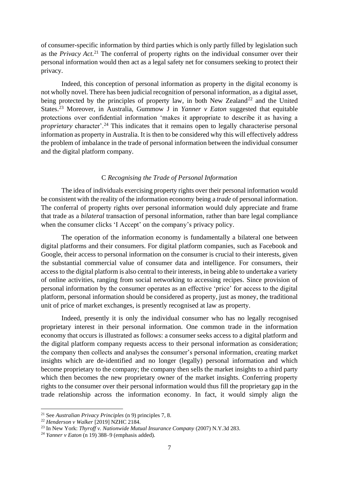of consumer-specific information by third parties which is only partly filled by legislation such as the *Privacy Act*. <sup>21</sup> The conferral of property rights on the individual consumer over their personal information would then act as a legal safety net for consumers seeking to protect their privacy.

Indeed, this conception of personal information as property in the digital economy is not wholly novel. There has been judicial recognition of personal information, as a digital asset, being protected by the principles of property law, in both New Zealand<sup>22</sup> and the United States.<sup>23</sup> Moreover, in Australia, Gummow J in *Yanner v Eaton* suggested that equitable protections over confidential information 'makes it appropriate to describe it as having a *proprietary* character'.<sup>24</sup> This indicates that it remains open to legally characterise personal information as property in Australia. It is then to be considered why this will effectively address the problem of imbalance in the trade of personal information between the individual consumer and the digital platform company.

# C *Recognising the Trade of Personal Information*

The idea of individuals exercising property rights over their personal information would be consistent with the reality of the information economy being a *trade* of personal information. The conferral of property rights over personal information would duly appreciate and frame that trade as a *bilateral* transaction of personal information, rather than bare legal compliance when the consumer clicks 'I Accept' on the company's privacy policy.

The operation of the information economy is fundamentally a bilateral one between digital platforms and their consumers. For digital platform companies, such as Facebook and Google, their access to personal information on the consumer is crucial to their interests, given the substantial commercial value of consumer data and intelligence. For consumers, their access to the digital platform is also central to their interests, in being able to undertake a variety of online activities, ranging from social networking to accessing recipes. Since provision of personal information by the consumer operates as an effective 'price' for access to the digital platform, personal information should be considered as property, just as money, the traditional unit of price of market exchanges, is presently recognised at law as property.

Indeed, presently it is only the individual consumer who has no legally recognised proprietary interest in their personal information. One common trade in the information economy that occurs is illustrated as follows: a consumer seeks access to a digital platform and the digital platform company requests access to their personal information as consideration; the company then collects and analyses the consumer's personal information, creating market insights which are de-identified and no longer (legally) personal information and which become proprietary to the company; the company then sells the market insights to a third party which then becomes the new proprietary owner of the market insights. Conferring property rights to the consumer over their personal information would thus fill the proprietary gap in the trade relationship across the information economy. In fact, it would simply align the

<sup>21</sup> See *Australian Privacy Principles* ([n 9\)](#page-3-0) principles 7, 8.

<sup>22</sup> *Henderson v Walker* [2019] NZHC 2184.

<sup>23</sup> In New York: *Thyroff v. Nationwide Mutual Insurance Company* (2007) N.Y.3d 283.

<sup>&</sup>lt;sup>24</sup> *Yanner v Eaton* ([n 19\)](#page-5-0) 388–9 (emphasis added).